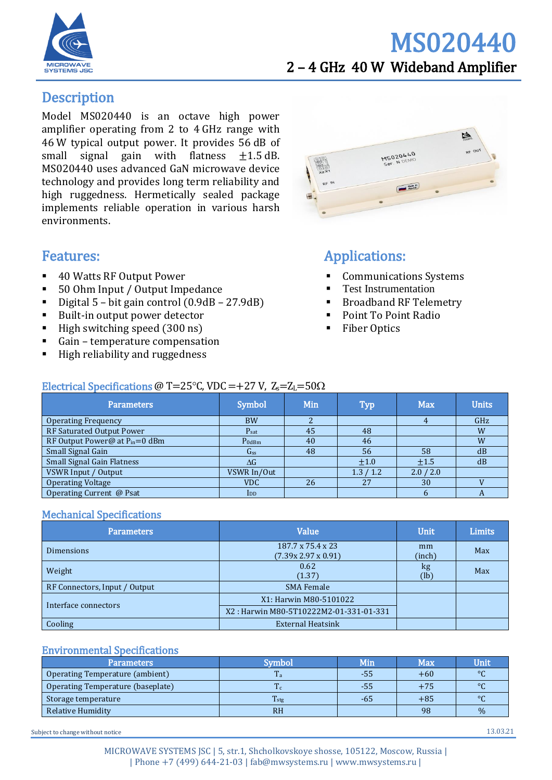

## MS020440 2 – 4 GHz 40 W Wideband Amplifier

## **Description**

Model MS020440 is an octave high power amplifier operating from 2 to 4 GHz range with 46 W typical output power. It provides 56 dB of small signal gain with flatness  $\pm 1.5$  dB. MS020440 uses advanced GaN microwave device technology and provides long term reliability and high ruggedness. Hermetically sealed package implements reliable operation in various harsh environments.

#### Features:

- 40 Watts RF Output Power
- 50 Ohm Input / Output Impedance
- Digital  $5$  bit gain control  $(0.9dB 27.9dB)$
- Built-in output power detector
- High switching speed (300 ns)
- Gain temperature compensation
- High reliability and ruggedness



## Applications:

- **Communications Systems**
- **Test Instrumentation**
- Broadband RF Telemetry
- Point To Point Radio
- **Fiber Optics**

#### Electrical Specifications @ T=25 $\degree$ C, VDC = +27 V, Z<sub>s</sub>=Z<sub>L</sub>=50 $\Omega$

| <b>Parameters</b>                  | Symbol                  | Min | <b>Typ</b> | <b>Max</b> | <b>Units</b> |
|------------------------------------|-------------------------|-----|------------|------------|--------------|
| <b>Operating Frequency</b>         | <b>BW</b>               |     |            |            | GHz          |
| RF Saturated Output Power          | $P_{\text{sat}}$        | 45  | 48         |            | W            |
| RF Output Power@ at $P_{in}=0$ dBm | $P_{0dBm}$              | 40  | 46         |            | W            |
| Small Signal Gain                  | G <sub>ss</sub>         | 48  | 56         | 58         | dB           |
| <b>Small Signal Gain Flatness</b>  | $\Delta G$              |     | $\pm 1.0$  | ±1.5       | dB           |
| VSWR Input / Output                | VSWR In/Out             |     | 1.3 / 1.2  | 2.0 / 2.0  |              |
| <b>Operating Voltage</b>           | <b>VDC</b>              | 26  | 27         | 30         |              |
| Operating Current @ Psat           | $\mathbf{_{\text{DD}}}$ |     |            |            |              |

#### Mechanical Specifications

| <b>Parameters</b>             | <b>Value</b>                            | <b>Unit</b>  | <b>Limits</b> |
|-------------------------------|-----------------------------------------|--------------|---------------|
| <b>Dimensions</b>             | 187.7 x 75.4 x 23<br>(7.39x 2.97x 0.91) | mm<br>(inch) | Max           |
| Weight                        | 0.62<br>(1.37)                          | kg<br>(lb)   | Max           |
| RF Connectors, Input / Output | <b>SMA Female</b>                       |              |               |
| Interface connectors          | X1: Harwin M80-5101022                  |              |               |
|                               | X2: Harwin M80-5T10222M2-01-331-01-331  |              |               |
| Cooling                       | <b>External Heatsink</b>                |              |               |

#### Environmental Specifications

| <b>Parameters</b>                 | Symbol           | Min | Max   | Unit    |
|-----------------------------------|------------------|-----|-------|---------|
| Operating Temperature (ambient)   | 1a               | -55 | $+60$ | $\circ$ |
| Operating Temperature (baseplate) |                  | -55 | $+75$ | $\circ$ |
| Storage temperature               | $T_{\text{stg}}$ | -65 | $+85$ | $\circ$ |
| Relative Humidity                 | <b>RH</b>        |     | 98    | $\%$    |

Subject to change without notice 13.03.21